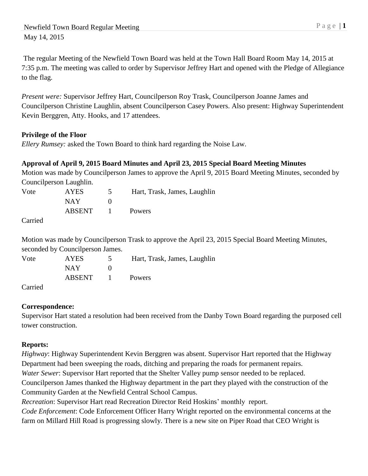The regular Meeting of the Newfield Town Board was held at the Town Hall Board Room May 14, 2015 at 7:35 p.m. The meeting was called to order by Supervisor Jeffrey Hart and opened with the Pledge of Allegiance to the flag.

*Present were:* Supervisor Jeffrey Hart, Councilperson Roy Trask, Councilperson Joanne James and Councilperson Christine Laughlin, absent Councilperson Casey Powers. Also present: Highway Superintendent Kevin Berggren, Atty. Hooks, and 17 attendees.

## **Privilege of the Floor**

*Ellery Rumsey:* asked the Town Board to think hard regarding the Noise Law.

## **Approval of April 9, 2015 Board Minutes and April 23, 2015 Special Board Meeting Minutes**

Motion was made by Councilperson James to approve the April 9, 2015 Board Meeting Minutes, seconded by Councilperson Laughlin.

| Vote                          | <b>AYES</b> | $\mathcal{D}$ | Hart, Trask, James, Laughlin |
|-------------------------------|-------------|---------------|------------------------------|
|                               | <b>NAY</b>  |               |                              |
|                               | ABSENT      | and the state | Powers                       |
| $\sim$ $\cdot$ $\cdot$ $\sim$ |             |               |                              |

Carried

Motion was made by Councilperson Trask to approve the April 23, 2015 Special Board Meeting Minutes, seconded by Councilperson James.

| Vote   | <b>AYES</b> |               | Hart, Trask, James, Laughlin |
|--------|-------------|---------------|------------------------------|
|        | NAY.        |               |                              |
|        | ABSENT      | and the state | Powers                       |
| $\sim$ |             |               |                              |

Carried

#### **Correspondence:**

Supervisor Hart stated a resolution had been received from the Danby Town Board regarding the purposed cell tower construction.

## **Reports:**

*Highway*: Highway Superintendent Kevin Berggren was absent. Supervisor Hart reported that the Highway Department had been sweeping the roads, ditching and preparing the roads for permanent repairs. *Water Sewer*: Supervisor Hart reported that the Shelter Valley pump sensor needed to be replaced. Councilperson James thanked the Highway department in the part they played with the construction of the Community Garden at the Newfield Central School Campus.

*Recreation*: Supervisor Hart read Recreation Director Reid Hoskins' monthly report.

*Code Enforcement*: Code Enforcement Officer Harry Wright reported on the environmental concerns at the farm on Millard Hill Road is progressing slowly. There is a new site on Piper Road that CEO Wright is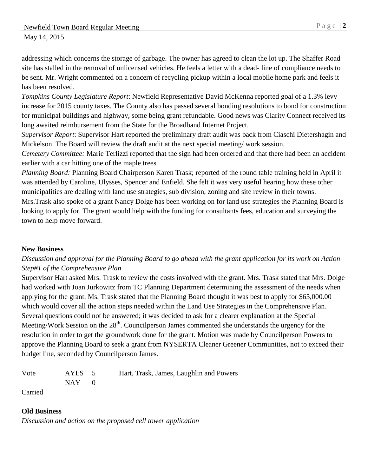addressing which concerns the storage of garbage. The owner has agreed to clean the lot up. The Shaffer Road site has stalled in the removal of unlicensed vehicles. He feels a letter with a dead- line of compliance needs to be sent. Mr. Wright commented on a concern of recycling pickup within a local mobile home park and feels it has been resolved.

*Tompkins County Legislature Report*: Newfield Representative David McKenna reported goal of a 1.3% levy increase for 2015 county taxes. The County also has passed several bonding resolutions to bond for construction for municipal buildings and highway, some being grant refundable. Good news was Clarity Connect received its long awaited reimbursement from the State for the Broadband Internet Project.

*Supervisor Report*: Supervisor Hart reported the preliminary draft audit was back from Ciaschi Dietershagin and Mickelson. The Board will review the draft audit at the next special meeting/ work session.

*Cemetery Committee:* Marie Terlizzi reported that the sign had been ordered and that there had been an accident earlier with a car hitting one of the maple trees.

*Planning Board:* Planning Board Chairperson Karen Trask; reported of the round table training held in April it was attended by Caroline, Ulysses, Spencer and Enfield. She felt it was very useful hearing how these other municipalities are dealing with land use strategies, sub division, zoning and site review in their towns.

Mrs.Trask also spoke of a grant Nancy Dolge has been working on for land use strategies the Planning Board is looking to apply for. The grant would help with the funding for consultants fees, education and surveying the town to help move forward.

## **New Business**

# *Discussion and approval for the Planning Board to go ahead with the grant application for its work on Action Step#1 of the Comprehensive Plan*

Supervisor Hart asked Mrs. Trask to review the costs involved with the grant. Mrs. Trask stated that Mrs. Dolge had worked with Joan Jurkowitz from TC Planning Department determining the assessment of the needs when applying for the grant. Ms. Trask stated that the Planning Board thought it was best to apply for \$65,000.00 which would cover all the action steps needed within the Land Use Strategies in the Comprehensive Plan. Several questions could not be answered; it was decided to ask for a clearer explanation at the Special Meeting/Work Session on the 28<sup>th</sup>. Councilperson James commented she understands the urgency for the resolution in order to get the groundwork done for the grant. Motion was made by Councilperson Powers to approve the Planning Board to seek a grant from NYSERTA Cleaner Greener Communities, not to exceed their budget line, seconded by Councilperson James.

| Vote | AYES 5  | Hart, Trask, James, Laughlin and Powers |
|------|---------|-----------------------------------------|
|      | $NAY$ 0 |                                         |

Carried

#### **Old Business**

*Discussion and action on the proposed cell tower application*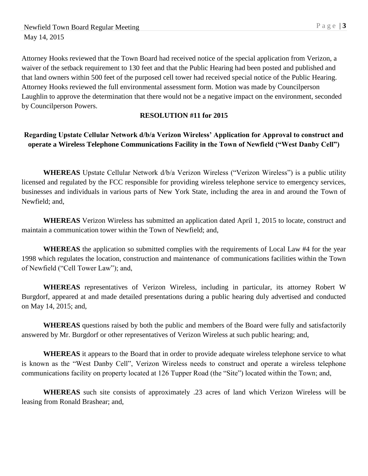Newfield Town Board Regular Meeting P a g e | 3 May 14, 2015

Attorney Hooks reviewed that the Town Board had received notice of the special application from Verizon, a waiver of the setback requirement to 130 feet and that the Public Hearing had been posted and published and that land owners within 500 feet of the purposed cell tower had received special notice of the Public Hearing. Attorney Hooks reviewed the full environmental assessment form. Motion was made by Councilperson Laughlin to approve the determination that there would not be a negative impact on the environment, seconded by Councilperson Powers.

### **RESOLUTION #11 for 2015**

## **Regarding Upstate Cellular Network d/b/a Verizon Wireless' Application for Approval to construct and operate a Wireless Telephone Communications Facility in the Town of Newfield ("West Danby Cell")**

**WHEREAS** Upstate Cellular Network d/b/a Verizon Wireless ("Verizon Wireless") is a public utility licensed and regulated by the FCC responsible for providing wireless telephone service to emergency services, businesses and individuals in various parts of New York State, including the area in and around the Town of Newfield; and,

**WHEREAS** Verizon Wireless has submitted an application dated April 1, 2015 to locate, construct and maintain a communication tower within the Town of Newfield; and,

**WHEREAS** the application so submitted complies with the requirements of Local Law #4 for the year 1998 which regulates the location, construction and maintenance of communications facilities within the Town of Newfield ("Cell Tower Law"); and,

**WHEREAS** representatives of Verizon Wireless, including in particular, its attorney Robert W Burgdorf, appeared at and made detailed presentations during a public hearing duly advertised and conducted on May 14, 2015; and,

**WHEREAS** questions raised by both the public and members of the Board were fully and satisfactorily answered by Mr. Burgdorf or other representatives of Verizon Wireless at such public hearing; and,

**WHEREAS** it appears to the Board that in order to provide adequate wireless telephone service to what is known as the "West Danby Cell", Verizon Wireless needs to construct and operate a wireless telephone communications facility on property located at 126 Tupper Road (the "Site") located within the Town; and,

**WHEREAS** such site consists of approximately .23 acres of land which Verizon Wireless will be leasing from Ronald Brashear; and,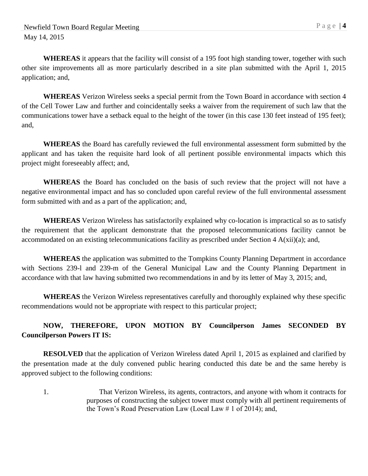**WHEREAS** it appears that the facility will consist of a 195 foot high standing tower, together with such other site improvements all as more particularly described in a site plan submitted with the April 1, 2015 application; and,

**WHEREAS** Verizon Wireless seeks a special permit from the Town Board in accordance with section 4 of the Cell Tower Law and further and coincidentally seeks a waiver from the requirement of such law that the communications tower have a setback equal to the height of the tower (in this case 130 feet instead of 195 feet); and,

**WHEREAS** the Board has carefully reviewed the full environmental assessment form submitted by the applicant and has taken the requisite hard look of all pertinent possible environmental impacts which this project might foreseeably affect; and,

**WHEREAS** the Board has concluded on the basis of such review that the project will not have a negative environmental impact and has so concluded upon careful review of the full environmental assessment form submitted with and as a part of the application; and,

**WHEREAS** Verizon Wireless has satisfactorily explained why co-location is impractical so as to satisfy the requirement that the applicant demonstrate that the proposed telecommunications facility cannot be accommodated on an existing telecommunications facility as prescribed under Section 4 A(xii)(a); and,

**WHEREAS** the application was submitted to the Tompkins County Planning Department in accordance with Sections 239-l and 239-m of the General Municipal Law and the County Planning Department in accordance with that law having submitted two recommendations in and by its letter of May 3, 2015; and,

**WHEREAS** the Verizon Wireless representatives carefully and thoroughly explained why these specific recommendations would not be appropriate with respect to this particular project;

# **NOW, THEREFORE, UPON MOTION BY Councilperson James SECONDED BY Councilperson Powers IT IS:**

**RESOLVED** that the application of Verizon Wireless dated April 1, 2015 as explained and clarified by the presentation made at the duly convened public hearing conducted this date be and the same hereby is approved subject to the following conditions:

1. That Verizon Wireless, its agents, contractors, and anyone with whom it contracts for purposes of constructing the subject tower must comply with all pertinent requirements of the Town's Road Preservation Law (Local Law # 1 of 2014); and,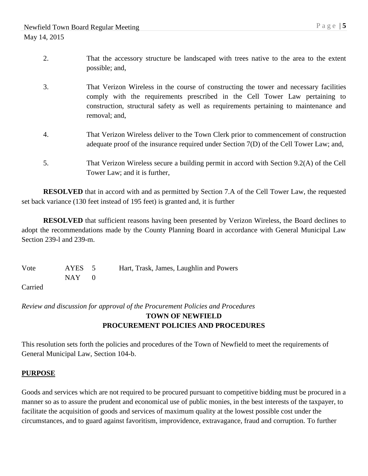- 2. That the accessory structure be landscaped with trees native to the area to the extent possible; and,
- 3. That Verizon Wireless in the course of constructing the tower and necessary facilities comply with the requirements prescribed in the Cell Tower Law pertaining to construction, structural safety as well as requirements pertaining to maintenance and removal; and,
- 4. That Verizon Wireless deliver to the Town Clerk prior to commencement of construction adequate proof of the insurance required under Section 7(D) of the Cell Tower Law; and,
- 5. That Verizon Wireless secure a building permit in accord with Section 9.2(A) of the Cell Tower Law; and it is further,

**RESOLVED** that in accord with and as permitted by Section 7.A of the Cell Tower Law, the requested set back variance (130 feet instead of 195 feet) is granted and, it is further

**RESOLVED** that sufficient reasons having been presented by Verizon Wireless, the Board declines to adopt the recommendations made by the County Planning Board in accordance with General Municipal Law Section 239-l and 239-m.

| Vote    | AYES 5 | Hart, Trask, James, Laughlin and Powers |
|---------|--------|-----------------------------------------|
|         | NAY 1  |                                         |
| Carried |        |                                         |

## *Review and discussion for approval of the Procurement Policies and Procedures* **TOWN OF NEWFIELD PROCUREMENT POLICIES AND PROCEDURES**

This resolution sets forth the policies and procedures of the Town of Newfield to meet the requirements of General Municipal Law, Section 104-b.

#### **PURPOSE**

Goods and services which are not required to be procured pursuant to competitive bidding must be procured in a manner so as to assure the prudent and economical use of public monies, in the best interests of the taxpayer, to facilitate the acquisition of goods and services of maximum quality at the lowest possible cost under the circumstances, and to guard against favoritism, improvidence, extravagance, fraud and corruption. To further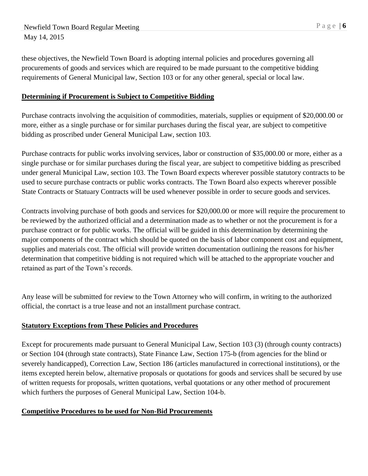these objectives, the Newfield Town Board is adopting internal policies and procedures governing all procurements of goods and services which are required to be made pursuant to the competitive bidding requirements of General Municipal law, Section 103 or for any other general, special or local law.

### **Determining if Procurement is Subject to Competitive Bidding**

Purchase contracts involving the acquisition of commodities, materials, supplies or equipment of \$20,000.00 or more, either as a single purchase or for similar purchases during the fiscal year, are subject to competitive bidding as proscribed under General Municipal Law, section 103.

Purchase contracts for public works involving services, labor or construction of \$35,000.00 or more, either as a single purchase or for similar purchases during the fiscal year, are subject to competitive bidding as prescribed under general Municipal Law, section 103. The Town Board expects wherever possible statutory contracts to be used to secure purchase contracts or public works contracts. The Town Board also expects wherever possible State Contracts or Statuary Contracts will be used whenever possible in order to secure goods and services.

Contracts involving purchase of both goods and services for \$20,000.00 or more will require the procurement to be reviewed by the authorized official and a determination made as to whether or not the procurement is for a purchase contract or for public works. The official will be guided in this determination by determining the major components of the contract which should be quoted on the basis of labor component cost and equipment, supplies and materials cost. The official will provide written documentation outlining the reasons for his/her determination that competitive bidding is not required which will be attached to the appropriate voucher and retained as part of the Town's records.

Any lease will be submitted for review to the Town Attorney who will confirm, in writing to the authorized official, the conrtact is a true lease and not an installment purchase contract.

## **Statutory Exceptions from These Policies and Procedures**

Except for procurements made pursuant to General Municipal Law, Section 103 (3) (through county contracts) or Section 104 (through state contracts), State Finance Law, Section 175-b (from agencies for the blind or severely handicapped), Correction Law, Section 186 (articles manufactured in correctional institutions), or the items excepted herein below, alternative proposals or quotations for goods and services shall be secured by use of written requests for proposals, written quotations, verbal quotations or any other method of procurement which furthers the purposes of General Municipal Law, Section 104-b.

#### **Competitive Procedures to be used for Non-Bid Procurements**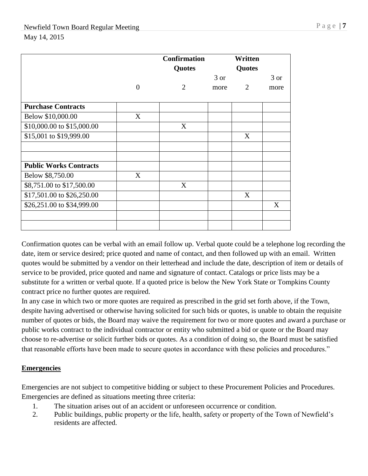|                               |                | <b>Confirmation</b> |      | Written        |      |
|-------------------------------|----------------|---------------------|------|----------------|------|
|                               |                | <b>Quotes</b>       |      | <b>Quotes</b>  |      |
|                               |                |                     | 3 or |                | 3 or |
|                               | $\overline{0}$ | $\overline{2}$      | more | $\overline{2}$ | more |
|                               |                |                     |      |                |      |
| <b>Purchase Contracts</b>     |                |                     |      |                |      |
| Below \$10,000.00             | X              |                     |      |                |      |
| \$10,000.00 to \$15,000.00    |                | $\mathbf X$         |      |                |      |
| \$15,001 to \$19,999.00       |                |                     |      | X              |      |
|                               |                |                     |      |                |      |
|                               |                |                     |      |                |      |
| <b>Public Works Contracts</b> |                |                     |      |                |      |
| Below \$8,750.00              | X              |                     |      |                |      |
| \$8,751.00 to \$17,500.00     |                | X                   |      |                |      |
| \$17,501.00 to \$26,250.00    |                |                     |      | X              |      |
| \$26,251.00 to \$34,999.00    |                |                     |      |                | X    |
|                               |                |                     |      |                |      |
|                               |                |                     |      |                |      |

Confirmation quotes can be verbal with an email follow up. Verbal quote could be a telephone log recording the date, item or service desired; price quoted and name of contact, and then followed up with an email. Written quotes would be submitted by a vendor on their letterhead and include the date, description of item or details of service to be provided, price quoted and name and signature of contact. Catalogs or price lists may be a substitute for a written or verbal quote. If a quoted price is below the New York State or Tompkins County contract price no further quotes are required.

In any case in which two or more quotes are required as prescribed in the grid set forth above, if the Town, despite having advertised or otherwise having solicited for such bids or quotes, is unable to obtain the requisite number of quotes or bids, the Board may waive the requirement for two or more quotes and award a purchase or public works contract to the individual contractor or entity who submitted a bid or quote or the Board may choose to re-advertise or solicit further bids or quotes. As a condition of doing so, the Board must be satisfied that reasonable efforts have been made to secure quotes in accordance with these policies and procedures."

#### **Emergencies**

Emergencies are not subject to competitive bidding or subject to these Procurement Policies and Procedures. Emergencies are defined as situations meeting three criteria:

- 1. The situation arises out of an accident or unforeseen occurrence or condition.
- 2. Public buildings, public property or the life, health, safety or property of the Town of Newfield's residents are affected.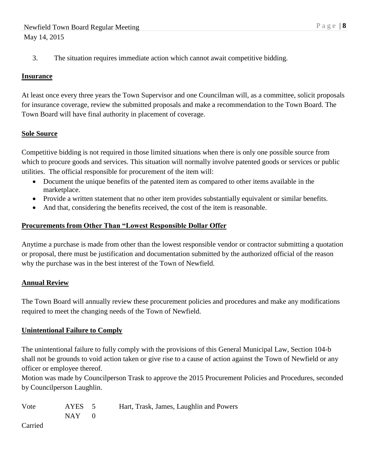3. The situation requires immediate action which cannot await competitive bidding.

## **Insurance**

At least once every three years the Town Supervisor and one Councilman will, as a committee, solicit proposals for insurance coverage, review the submitted proposals and make a recommendation to the Town Board. The Town Board will have final authority in placement of coverage.

### **Sole Source**

Competitive bidding is not required in those limited situations when there is only one possible source from which to procure goods and services. This situation will normally involve patented goods or services or public utilities. The official responsible for procurement of the item will:

- Document the unique benefits of the patented item as compared to other items available in the marketplace.
- Provide a written statement that no other item provides substantially equivalent or similar benefits.
- And that, considering the benefits received, the cost of the item is reasonable.

## **Procurements from Other Than "Lowest Responsible Dollar Offer**

Anytime a purchase is made from other than the lowest responsible vendor or contractor submitting a quotation or proposal, there must be justification and documentation submitted by the authorized official of the reason why the purchase was in the best interest of the Town of Newfield.

## **Annual Review**

The Town Board will annually review these procurement policies and procedures and make any modifications required to meet the changing needs of the Town of Newfield.

#### **Unintentional Failure to Comply**

The unintentional failure to fully comply with the provisions of this General Municipal Law, Section 104-b shall not be grounds to void action taken or give rise to a cause of action against the Town of Newfield or any officer or employee thereof.

Motion was made by Councilperson Trask to approve the 2015 Procurement Policies and Procedures, seconded by Councilperson Laughlin.

| Vote | AYES 5     | Hart, Trask, James, Laughlin and Powers |
|------|------------|-----------------------------------------|
|      | $NAY \t 0$ |                                         |

Carried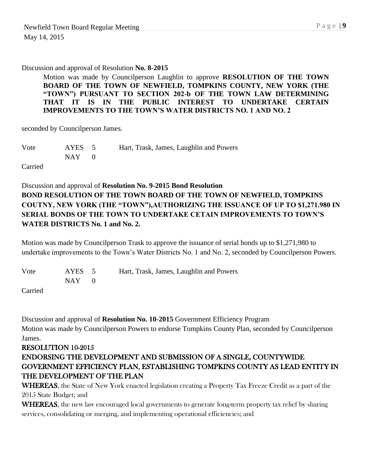#### Discussion and approval of Resolution **No. 8-2015**

Motion was made by Councilperson Laughlin to approve **RESOLUTION OF THE TOWN BOARD OF THE TOWN OF NEWFIELD, TOMPKINS COUNTY, NEW YORK (THE "TOWN") PURSUANT TO SECTION 202-b OF THE TOWN LAW DETERMINING THAT IT IS IN THE PUBLIC INTEREST TO UNDERTAKE CERTAIN IMPROVEMENTS TO THE TOWN'S WATER DISTRICTS NO. 1 AND NO. 2**

seconded by Councilperson James.

Vote AYES 5 Hart, Trask, James, Laughlin and Powers  $NAY$  0

Carried

# Discussion and approval of **Resolution No. 9-2015 Bond Resolution BOND RESOLUTION OF THE TOWN BOARD OF THE TOWN OF NEWFIELD, TOMPKINS COUTNY, NEW YORK (THE "TOWN"),AUTHORIZING THE ISSUANCE OF UP TO \$1,271.980 IN SERIAL BONDS OF THE TOWN TO UNDERTAKE CETAIN IMPROVEMENTS TO TOWN'S WATER DISTRICTS No. 1 and No. 2.**

Motion was made by Councilperson Trask to approve the issuance of serial bonds up to \$1,271,980 to undertake improvements to the Town's Water Districts No. 1 and No. 2, seconded by Councilperson Powers.

| Vote                                             | AYES 5    | Hart, Trask, James, Laughlin and Powers |
|--------------------------------------------------|-----------|-----------------------------------------|
|                                                  | $NAY = 0$ |                                         |
| $\sim$ $\sim$ $\sim$ $\sim$ $\sim$ $\sim$ $\sim$ |           |                                         |

Carried

Discussion and approval of **Resolution No. 10-2015** Government Efficiency Program Motion was made by Councilperson Powers to endorse Tompkins County Plan, seconded by Councilperson James.

## RESOLUTION 10-2015

# ENDORSING THE DEVELOPMENT AND SUBMISSION OF A SINGLE, COUNTYWIDE GOVERNMENT EFFICIENCY PLAN, ESTABLISHING TOMPKINS COUNTY AS LEAD ENTITY IN THE DEVELOPMENT OF THE PLAN

WHEREAS, the State of New York enacted legislation creating a Property Tax Freeze Credit as a part of the 2015 State Budget; and

WHEREAS, the new law encouraged local governments to generate long-term property tax relief by sharing services, consolidating or merging, and implementing operational efficiencies; and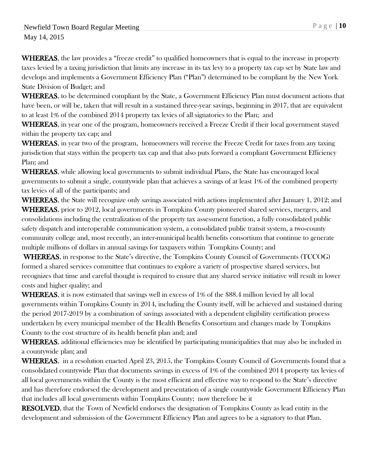WHEREAS, the law provides a "freeze credit" to qualified homeowners that is equal to the increase in property taxes levied by a taxing jurisdiction that limits any increase in its tax levy to a property tax cap set by State law and develops and implements a Government Efficiency Plan ("Plan") determined to be compliant by the New York State Division of Budget; and

WHEREAS, to be determined compliant by the State, a Government Efficiency Plan must document actions that have been, or will be, taken that will result in a sustained three-year savings, beginning in 2017, that are equivalent to at least 1% of the combined 2014 property tax levies of all signatories to the Plan; and

WHEREAS, in year one of the program, homeowners received a Freeze Credit if their local government stayed within the property tax cap; and

WHEREAS, in year two of the program, homeowners will receive the Freeze Credit for taxes from any taxing jurisdiction that stays within the property tax cap and that also puts forward a compliant Government Efficiency Plan; and

WHEREAS, while allowing local governments to submit individual Plans, the State has encouraged local governments to submit a single, countywide plan that achieves a savings of at least 1% of the combined property tax levies of all of the participants; and

WHEREAS, the State will recognize only savings associated with actions implemented after January 1, 2012; and WHEREAS, prior to 2012, local governments in Tompkins County pioneered shared services, mergers, and consolidations including the centralization of the property tax assessment function, a fully consolidated public safety dispatch and interoperable communication system, a consolidated public transit system, a two-county community college and, most recently, an inter-municipal health benefits consortium that continue to generate multiple millions of dollars in annual savings for taxpayers within Tompkins County; and

WHEREAS, in response to the State's directive, the Tompkins County Council of Governments (TCCOG) formed a shared services committee that continues to explore a variety of prospective shared services, but recognizes that time and careful thought is required to ensure that any shared service initiative will result in lower costs and higher quality; and

WHEREAS, it is now estimated that savings well in excess of 1% of the \$88.4 million levied by all local governments within Tompkins County in 2014, including the County itself, will be achieved and sustained during the period 2017-2019 by a combination of savings associated with a dependent eligibility certification process undertaken by every municipal member of the Health Benefits Consortium and changes made by Tompkins County to the cost structure of its health benefit plan and; and

WHEREAS, additional efficiencies may be identified by participating municipalities that may also be included in a countywide plan; and

WHEREAS, in a resolution enacted April 23, 2015, the Tompkins County Council of Governments found that a consolidated countywide Plan that documents savings in excess of 1% of the combined 2014 property tax levies of all local governments within the County is the most efficient and effective way to respond to the State's directive and has therefore endorsed the development and presentation of a single countywide Government Efficiency Plan that includes all local governments within Tompkins County; now therefore be it

RESOLVED, that the Town of Newfield endorses the designation of Tompkins County as lead entity in the development and submission of the Government Efficiency Plan and agrees to be a signatory to that Plan.